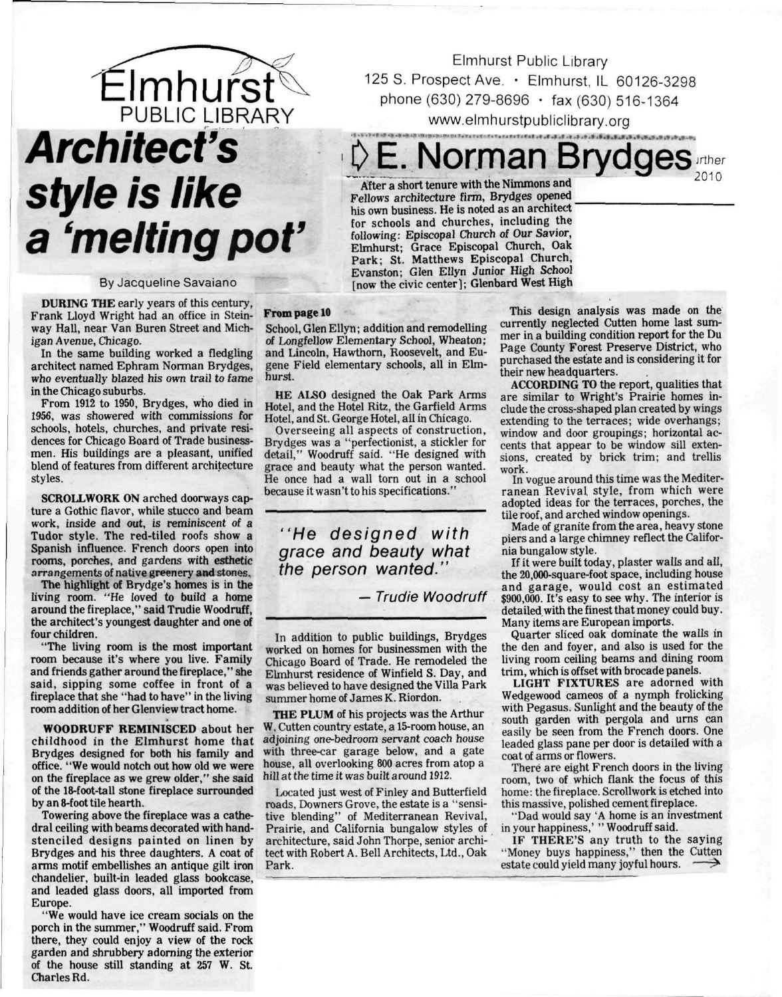

## **Architect's style is like**  a 'melting pot'

## By Jacqueline Savaiano

**DURING THE** early years of this century, Frank Lloyd Wright had an office in Steinway Hall, near Van Buren Street and Michigan Avenue, Chicago.

In the same building worked a fledgling architect named Ephram Norman Brydges, who eventually blazed his own trail to fame in the Chicago suburbs.

From 1912 to 1950, Brydges, who died in 1956, was showered with commissions for schools, hotels, churches, and private residences for Chicago Board of Trade businessmen. His buildings are a pleasant, unified blend of features from different architecture styles.

**SCROLLWORK ON** arched doorways capture a Gothic flavor, while stucco and beam work, inside and out, is reminiscent of **a**  Tudor style. The red-tiled roofs show a Spanish influence. French doors open into rooms, porches, and gardens with esthetic arrangements of native greenery **and** stones.

The highlight of Brydge's homes is in the living room. "He loved to build a home around the fireplace," said Trudie Woodruff, the architect's youngest daughter and one of four children.

"The living room is the most important room because it's where you live. Family and friends gather around the fireplace," she said, sipping some coffee in front of **a**  fireplace that she "had to have" in the living room addition of her Glenview tract home.

**WOODRUFF REMINISCED** about her childhood in the Elmhurst home that Brydges designed for both his family and office. "We would notch out how old we were on the fireplace as we grew older," she said of the 18-foot-tall stone fireplace surrounded by an 8-foot tile hearth.

Towering above the fireplace was a cathedral ceiling with beams decorated with handstenciled designs painted on linen by Brydges and his three daughters. A coat of arms motif embellishes an antique gilt iron chandelier, built-in leaded glass bookcase, and leaded glass doors, all imported from Europe.

"We would have ice cream socials on the porch in the summer," Woodruff said. From there, they could enjoy a view of the rock garden and shrubbery adorning the exterior of the house still standing at 257 W. St. Charles Rd.

Elmhurst Public Library 125 S. Prospect Ave. • Elmhurst, IL 60126-3298 phone (630) 279-8696 • fax (630) 516-1364 [www.elmhurstpubliclibrary.org](http://www.elmhurstpubliclibrary.org) 

**J> E. Norman Brydges**  jrther 2010

After a short tenure with the Nimmons and Fellows architecture firm, Brydges opened his own business. He is noted as an architect for schools and churches, including the following: Episcopal Church of Our Savior, Elmhurst; Grace Episcopal Church, Oak Park; St. Matthews Episcopal Church, Evanston; Glen Ellyn Junior High School [now the civic center]; Glenbard West High

## **From page 10**

School, Glen Ellyn; addition and remodelling of Longfellow Elementary School, Wheaton; and Lincoln, Hawthorn, Roosevelt, and Eugene Field elementary schools, all in Elmhurst.

HE ALSO designed the Oak Park Arms Hotel, and the Hotel Ritz, the Garfield Arms Hotel, and St. George Hotel, all in Chicago.

Overseeing all aspects of construction, Brydges was a "perfectionist, a stickler for detail," Woodruff said. "He designed with grace and beauty what the person wanted. He once had a wall torn out in a school because it wasn't to his specifications."

"He designed with grace and beauty what the person wanted."

**— Trudie Woodruff** 

In addition to public buildings, Brydges worked on homes for businessmen with the Chicago Board of Trade. He remodeled the Elmhurst residence of Winfield S. Day, and was believed to have designed the Villa Park summer home of James K. Riordon.

**THE PLUM** of his projects was the Arthur W. Cutten country estate, a 15-room house, an adjoining one-bedroom servant coach house with three-car garage below, and a gate house, all overlooking 800 acres from atop a hill at the time it was built around 1912.

Located just west of Finley and Butterfield roads, Downers Grove, the estate is a "sensitive blending" of Mediterranean Revival, Prairie, and California bungalow styles of architecture, said John Thorpe, senior architect with Robert A. Bell Architects, Ltd., Oak Park.

This design analysis was made on the currently neglected Cutten home last summer in a building condition report for the Du Page County Forest Preserve District, who purchased the estate and is considering it for their new headquarters.

ACCORDING **TO** the report, qualities that are similar to Wright's Prairie homes include the cross-shaped plan created by wings extending to the terraces; wide overhangs; window and door groupings; horizontal accents that appear to be window sill extensions, created by brick trim; and trellis work.

In vogue around this time was the Mediterranean Revival style, from which were adopted ideas for the terraces, porches, the tile roof, and arched window openings.

Made of granite from the area, heavy stone piers and a large chimney reflect the California bungalow style.

If it were built today, plaster walls and all, the 20,000-square-foot space, including house and garage, would cost an estimated \$900,000. It's easy to see why. The interior is detailed with the finest that money could buy. Many items are European imports.

Quarter sliced oak dominate the walls in the den and foyer, and also is used for the living room ceiling beams and dining room trim, which is offset with brocade panels.

**LIGHT FIXTURES** are adorned with Wedgewood cameos of a nymph frolicking with Pegasus. Sunlight and the beauty of the south garden with pergola and urns can easily be seen from the French doors. One leaded glass pane per door is detailed with a coat of arms or flowers.

There are eight French doors in the living room, two of which flank the focus of this home: the fireplace. Scrollwork is etched into this massive, polished cement fireplace.

"Dad would say 'A home is an investment in your happiness,' " Woodruff said.

IF THERE'S any truth to the saying "Money buys happiness," then the Cutten estate could yield many joyful hours. — ^